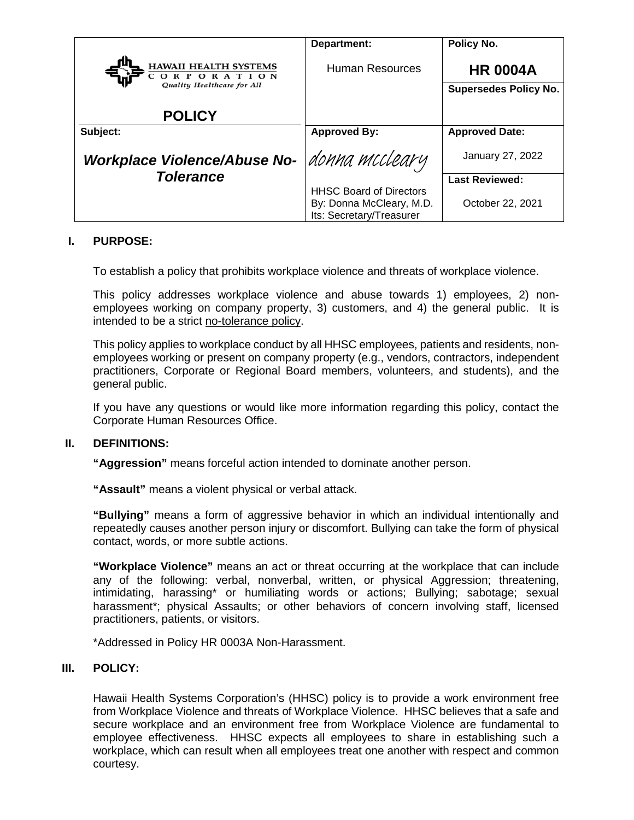|                                                                          | Department:                                                                            | Policy No.                                      |
|--------------------------------------------------------------------------|----------------------------------------------------------------------------------------|-------------------------------------------------|
| <b>HAWAII HEALTH SYSTEMS</b><br>ORPORATION<br>Quality Healthcare for All | <b>Human Resources</b>                                                                 | <b>HR 0004A</b><br><b>Supersedes Policy No.</b> |
| <b>POLICY</b>                                                            |                                                                                        |                                                 |
| Subject:                                                                 | <b>Approved By:</b>                                                                    | <b>Approved Date:</b>                           |
| Workplace Violence/Abuse No-                                             | donna mccleary                                                                         | January 27, 2022                                |
| <b>Tolerance</b>                                                         |                                                                                        | <b>Last Reviewed:</b>                           |
|                                                                          | <b>HHSC Board of Directors</b><br>By: Donna McCleary, M.D.<br>Its: Secretary/Treasurer | October 22, 2021                                |

# **I. PURPOSE:**

To establish a policy that prohibits workplace violence and threats of workplace violence.

This policy addresses workplace violence and abuse towards 1) employees, 2) nonemployees working on company property, 3) customers, and 4) the general public. It is intended to be a strict no-tolerance policy.

This policy applies to workplace conduct by all HHSC employees, patients and residents, nonemployees working or present on company property (e.g., vendors, contractors, independent practitioners, Corporate or Regional Board members, volunteers, and students), and the general public.

If you have any questions or would like more information regarding this policy, contact the Corporate Human Resources Office.

### **II. DEFINITIONS:**

**"Aggression"** means forceful action intended to dominate another person.

**"Assault"** means a violent physical or verbal attack.

**"Bullying"** means a form of aggressive behavior in which an individual intentionally and repeatedly causes another person injury or discomfort. Bullying can take the form of physical contact, words, or more subtle actions.

**"Workplace Violence"** means an act or threat occurring at the workplace that can include any of the following: verbal, nonverbal, written, or physical Aggression; threatening, intimidating, harassing\* or humiliating words or actions; Bullying; sabotage; sexual harassment\*; physical Assaults; or other behaviors of concern involving staff, licensed practitioners, patients, or visitors.

\*Addressed in Policy HR 0003A Non-Harassment.

### **III. POLICY:**

Hawaii Health Systems Corporation's (HHSC) policy is to provide a work environment free from Workplace Violence and threats of Workplace Violence. HHSC believes that a safe and secure workplace and an environment free from Workplace Violence are fundamental to employee effectiveness. HHSC expects all employees to share in establishing such a workplace, which can result when all employees treat one another with respect and common courtesy.